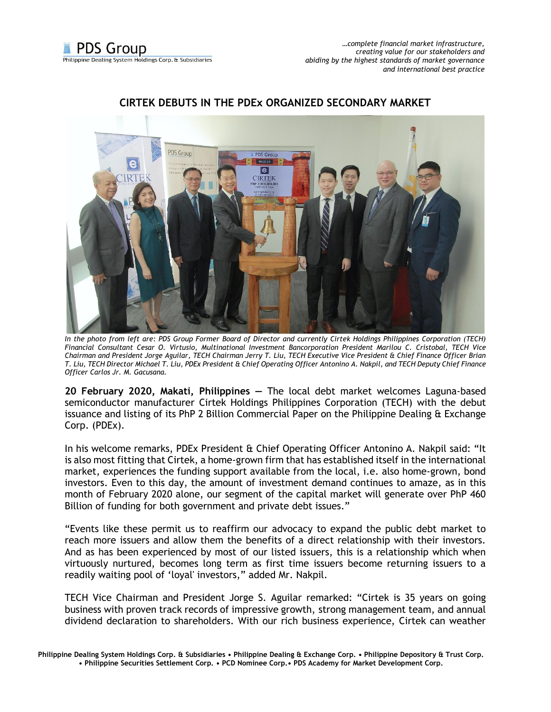

## **CIRTEK DEBUTS IN THE PDEx ORGANIZED SECONDARY MARKET**

*In the photo from left are: PDS Group Former Board of Director and currently Cirtek Holdings Philippines Corporation (TECH) Financial Consultant Cesar O. Virtusio, Multinational Investment Bancorporation President Marilou C. Cristobal, TECH Vice Chairman and President Jorge Aguilar, TECH Chairman Jerry T. Liu, TECH Executive Vice President & Chief Finance Officer Brian T. Liu, TECH Director Michael T. Liu, PDEx President & Chief Operating Officer Antonino A. Nakpil, and TECH Deputy Chief Finance Officer Carlos Jr. M. Gacusana.*

**20 February 2020, Makati, Philippines —** The local debt market welcomes Laguna-based semiconductor manufacturer Cirtek Holdings Philippines Corporation (TECH) with the debut issuance and listing of its PhP 2 Billion Commercial Paper on the Philippine Dealing & Exchange Corp. (PDEx).

In his welcome remarks, PDEx President & Chief Operating Officer Antonino A. Nakpil said: "It is also most fitting that Cirtek, a home-grown firm that has established itself in the international market, experiences the funding support available from the local, i.e. also home-grown, bond investors. Even to this day, the amount of investment demand continues to amaze, as in this month of February 2020 alone, our segment of the capital market will generate over PhP 460 Billion of funding for both government and private debt issues."

"Events like these permit us to reaffirm our advocacy to expand the public debt market to reach more issuers and allow them the benefits of a direct relationship with their investors. And as has been experienced by most of our listed issuers, this is a relationship which when virtuously nurtured, becomes long term as first time issuers become returning issuers to a readily waiting pool of 'loyal' investors," added Mr. Nakpil.

TECH Vice Chairman and President Jorge S. Aguilar remarked: "Cirtek is 35 years on going business with proven track records of impressive growth, strong management team, and annual dividend declaration to shareholders. With our rich business experience, Cirtek can weather